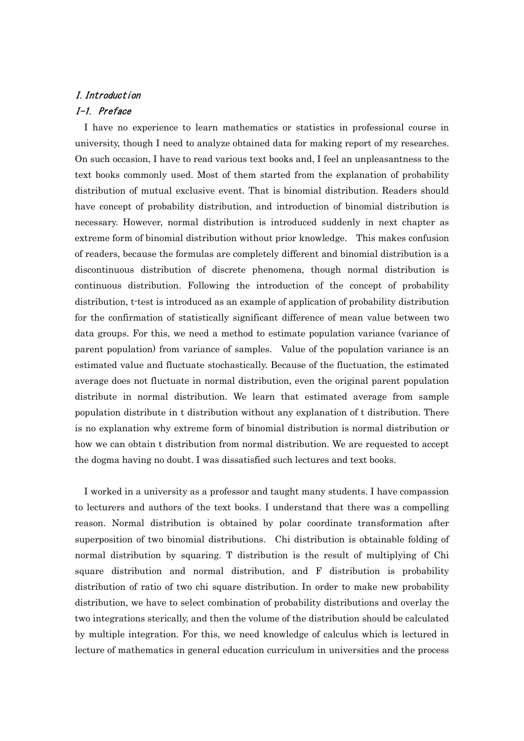## I.Introduction I-1. Preface

I have no experience to learn mathematics or statistics in professional course in university, though I need to analyze obtained data for making report of my researches. On such occasion, I have to read various text books and, I feel an unpleasantness to the text books commonly used. Most of them started from the explanation of probability distribution of mutual exclusive event. That is binomial distribution. Readers should have concept of probability distribution, and introduction of binomial distribution is necessary. However, normal distribution is introduced suddenly in next chapter as extreme form of binomial distribution without prior knowledge. This makes confusion of readers, because the formulas are completely different and binomial distribution is a discontinuous distribution of discrete phenomena, though normal distribution is continuous distribution. Following the introduction of the concept of probability distribution, t-test is introduced as an example of application of probability distribution for the confirmation of statistically significant difference of mean value between two data groups. For this, we need a method to estimate population variance (variance of parent population) from variance of samples. Value of the population variance is an estimated value and fluctuate stochastically. Because of the fluctuation, the estimated average does not fluctuate in normal distribution, even the original parent population distribute in normal distribution. We learn that estimated average from sample population distribute in t distribution without any explanation of t distribution. There is no explanation why extreme form of binomial distribution is normal distribution or how we can obtain t distribution from normal distribution. We are requested to accept the dogma having no doubt. I was dissatisfied such lectures and text books.

I worked in a university as a professor and taught many students. I have compassion to lecturers and authors of the text books. I understand that there was a compelling reason. Normal distribution is obtained by polar coordinate transformation after superposition of two binomial distributions. Chi distribution is obtainable folding of normal distribution by squaring. T distribution is the result of multiplying of Chi square distribution and normal distribution, and F distribution is probability distribution of ratio of two chi square distribution. In order to make new probability distribution, we have to select combination of probability distributions and overlay the two integrations sterically, and then the volume of the distribution should be calculated by multiple integration. For this, we need knowledge of calculus which is lectured in lecture of mathematics in general education curriculum in universities and the process